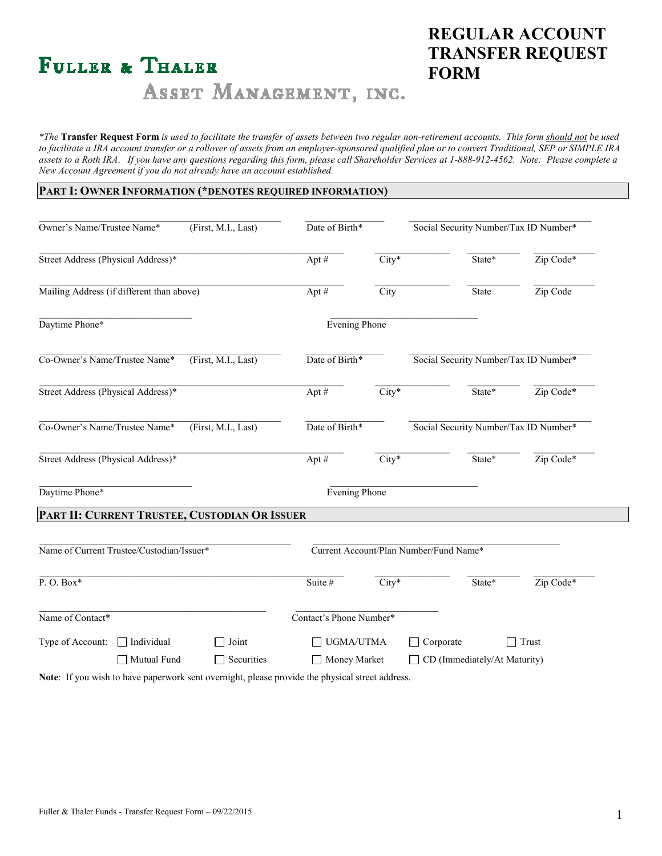# **FULLER & THALER**

# **REGULAR ACCOUNT TRANSFER REQUEST FORM**

# ASSET MANAGEMENT, INC.

*\*The* **Transfer Request Form** *is used to facilitate the transfer of assets between two regular non-retirement accounts. This form should not be used to facilitate a IRA account transfer or a rollover of assets from an employer-sponsored qualified plan or to convert Traditional, SEP or SIMPLE IRA assets to a Roth IRA*. *If you have any questions regarding this form, please call Shareholder Services at 1-888-912-4562. Note: Please complete a New Account Agreement if you do not already have an account established.* 

#### **PART I: OWNER INFORMATION (\*DENOTES REQUIRED INFORMATION)**

| Owner's Name/Trustee Name*<br>(First, M.I., Last)    |                                  | Date of Birth*                                |                                        | Social Security Number/Tax ID Number* |                                           |           |
|------------------------------------------------------|----------------------------------|-----------------------------------------------|----------------------------------------|---------------------------------------|-------------------------------------------|-----------|
| Street Address (Physical Address)*                   |                                  |                                               | Apt #                                  | City*                                 | State*                                    | Zip Code* |
| Mailing Address (if different than above)            |                                  |                                               | Apt#                                   | City                                  | State                                     | Zip Code  |
| Daytime Phone*                                       |                                  |                                               |                                        | Evening Phone                         |                                           |           |
| Co-Owner's Name/Trustee Name*<br>(First, M.I., Last) |                                  | Date of Birth*                                |                                        | Social Security Number/Tax ID Number* |                                           |           |
| Street Address (Physical Address)*                   |                                  |                                               | Apt#                                   | $City*$                               | State*                                    | Zip Code* |
| Co-Owner's Name/Trustee Name*<br>(First, M.I., Last) |                                  | Date of Birth*                                |                                        | Social Security Number/Tax ID Number* |                                           |           |
| Street Address (Physical Address)*                   |                                  |                                               | Apt #                                  | City*                                 | State*                                    | Zip Code* |
| Daytime Phone*                                       |                                  |                                               | <b>Evening Phone</b>                   |                                       |                                           |           |
|                                                      |                                  | PART II: CURRENT TRUSTEE, CUSTODIAN OR ISSUER |                                        |                                       |                                           |           |
| Name of Current Trustee/Custodian/Issuer*            |                                  |                                               | Current Account/Plan Number/Fund Name* |                                       |                                           |           |
| P.O. Box*                                            |                                  |                                               | Suite #                                | City*                                 | State*                                    | Zip Code* |
| Name of Contact*                                     |                                  |                                               | Contact's Phone Number*                |                                       |                                           |           |
| Type of Account:                                     | $\Box$ Individual<br>Mutual Fund | Joint<br>Securities                           | UGMA/UTMA<br>Money Market              |                                       | Corporate<br>CD (Immediately/At Maturity) | Trust     |

**Note**: If you wish to have paperwork sent overnight, please provide the physical street address.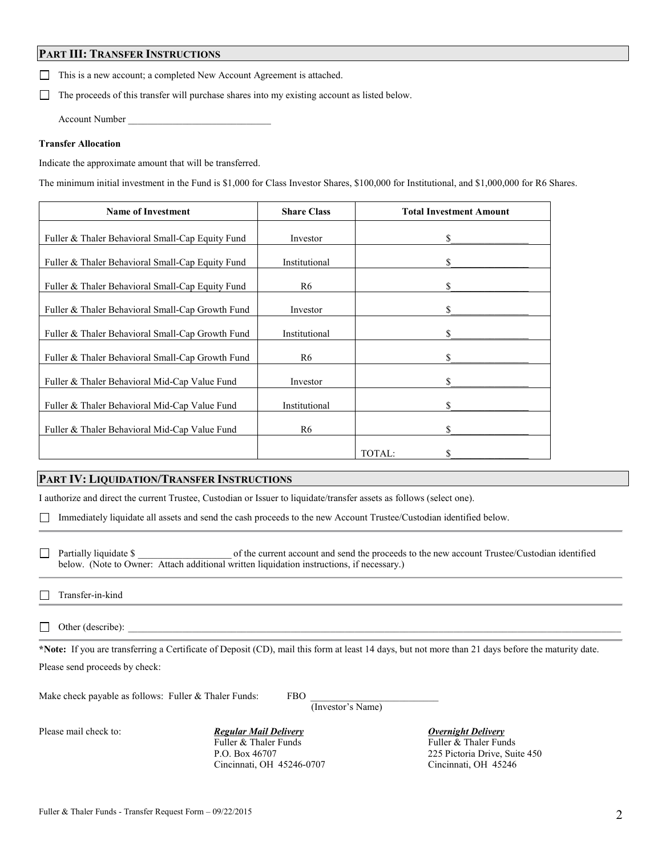#### **PART III: TRANSFER INSTRUCTIONS**

This is a new account; a completed New Account Agreement is attached.

 $\Box$  The proceeds of this transfer will purchase shares into my existing account as listed below.

Account Number

#### **Transfer Allocation**

Indicate the approximate amount that will be transferred.

The minimum initial investment in the Fund is \$1,000 for Class Investor Shares, \$100,000 for Institutional, and \$1,000,000 for R6 Shares.

| <b>Name of Investment</b>                        | <b>Share Class</b> | <b>Total Investment Amount</b> |
|--------------------------------------------------|--------------------|--------------------------------|
| Fuller & Thaler Behavioral Small-Cap Equity Fund | Investor           | \$                             |
| Fuller & Thaler Behavioral Small-Cap Equity Fund | Institutional      | \$                             |
| Fuller & Thaler Behavioral Small-Cap Equity Fund | R6                 | \$                             |
| Fuller & Thaler Behavioral Small-Cap Growth Fund | Investor           | \$                             |
| Fuller & Thaler Behavioral Small-Cap Growth Fund | Institutional      | \$                             |
| Fuller & Thaler Behavioral Small-Cap Growth Fund | R6                 | \$                             |
| Fuller & Thaler Behavioral Mid-Cap Value Fund    | Investor           | \$                             |
| Fuller & Thaler Behavioral Mid-Cap Value Fund    | Institutional      | \$                             |
| Fuller & Thaler Behavioral Mid-Cap Value Fund    | R6                 | \$                             |
|                                                  |                    | TOTAL:<br>S                    |

### **PART IV: LIQUIDATION/TRANSFER INSTRUCTIONS**

I authorize and direct the current Trustee, Custodian or Issuer to liquidate/transfer assets as follows (select one).

Immediately liquidate all assets and send the cash proceeds to the new Account Trustee/Custodian identified below.

□ Partially liquidate \$ of the current account and send the proceeds to the new account Trustee/Custodian identified below. (Note to Owner: Attach additional written liquidation instructions, if necessary.)

 $\Box$  Other (describe):

**\*Note:** If you are transferring a Certificate of Deposit (CD), mail this form at least 14 days, but not more than 21 days before the maturity date. Please send proceeds by check:

Make check payable as follows: Fuller  $&$  Thaler Funds: FBO (Investor's Name)

Please mail check to: *Regular Mail Delivery Deemight Delivery*<br>Fuller & Thaler Funds Funds Funds Funds Funds Funds Fuller & Thaler Funds Cincinnati, OH 45246-0707 Cincinnati, OH 45246

P.O. Box 46707 225 Pictoria Drive, Suite 450

 $\Box$ Transfer-in-kind